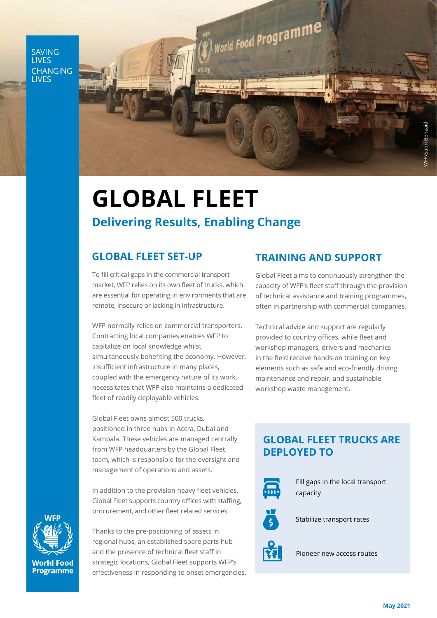SAVING **LIVES** CHANGING **LIVES** 



## **GLOBAL FLEET Delivering Results, Enabling Change**

To fill critical gaps in the commercial transport market, WFP relies on its own fleet of trucks, which are essential for operating in environments that are remote, insecure or lacking in infrastructure.

WFP normally relies on commercial transporters. Contracting local companies enables WFP to capitalize on local knowledge whilst simultaneously benefiting the economy. However, insufficient infrastructure in many places, coupled with the emergency nature of its work, necessitates that WFP also maintains a dedicated fleet of readily deployable vehicles.

Global Fleet owns almost 500 trucks, positioned in three hubs in Accra, Dubai and Kampala. These vehicles are managed centrally from WFP headquarters by the Global Fleet team, which is responsible for the oversight and management of operations and assets.

In addition to the provision heavy fleet vehicles, Global Fleet supports country offices with staffing, procurement, and other fleet related services.

**World Food Programme** 

Thanks to the pre-positioning of assets in regional hubs, an established spare parts hub and the presence of technical fleet staff in strategic locations, Global Fleet supports WFP's effectiveness in responding to onset emergencies.

### **GLOBAL FLEET SET-UP TRAINING AND SUPPORT**

Global Fleet aims to continuously strengthen the capacity of WFP's fleet staff through the provision of technical assistance and training programmes, often in partnership with commercial companies.

Technical advice and support are regularly provided to country offices, while fleet and workshop managers, drivers and mechanics in the field receive hands-on training on key elements such as safe and eco-friendly driving, maintenance and repair, and sustainable workshop waste management.

#### **GLOBAL FLEET TRUCKS ARE DEPLOYED TO**



Fill gaps in the local transport capacity



Stabilize transport rates



Pioneer new access routes